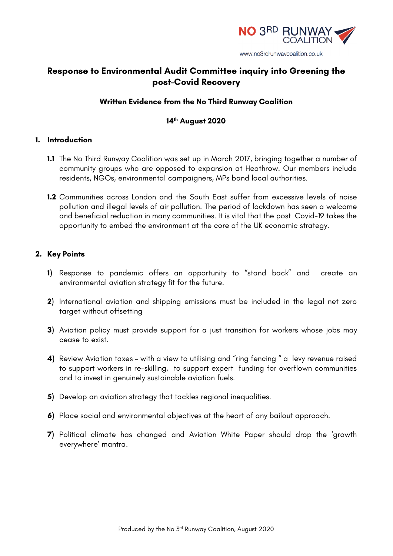

www.no3rdrunwaycoalition.co.uk

# **Response to Environmental Audit Committee inquiry into Greening the post-Covid Recovery**

# **Written Evidence from the No Third Runway Coalition**

# **14th August 2020**

## **1. Introduction**

- **1.1** The No Third Runway Coalition was set up in March 2017, bringing together a number of community groups who are opposed to expansion at Heathrow. Our members include residents, NGOs, environmental campaigners, MPs band local authorities.
- **1.2** Communities across London and the South East suffer from excessive levels of noise pollution and illegal levels of air pollution. The period of lockdown has seen a welcome and beneficial reduction in many communities. It is vital that the post Covid-19 takes the opportunity to embed the environment at the core of the UK economic strategy.

## **2. Key Points**

- **1)** Response to pandemic offers an opportunity to "stand back" and create an environmental aviation strategy fit for the future.
- **2)** International aviation and shipping emissions must be included in the legal net zero target without offsetting
- **3)** Aviation policy must provide support for a just transition for workers whose jobs may cease to exist.
- **4)** Review Aviation taxes with a view to utilising and "ring fencing " a levy revenue raised to support workers in re-skilling, to support expert funding for overflown communities and to invest in genuinely sustainable aviation fuels.
- **5)** Develop an aviation strategy that tackles regional inequalities.
- **6)** Place social and environmental objectives at the heart of any bailout approach.
- **7)** Political climate has changed and Aviation White Paper should drop the 'growth everywhere' mantra.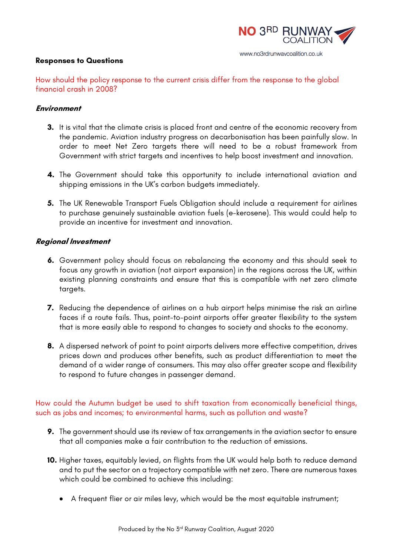

#### **Responses to Questions**

How should the policy response to the current crisis differ from the response to the global financial crash in 2008?

#### **Environment**

- **3.** It is vital that the climate crisis is placed front and centre of the economic recovery from the pandemic. Aviation industry progress on decarbonisation has been painfully slow. In order to meet Net Zero targets there will need to be a robust framework from Government with strict targets and incentives to help boost investment and innovation.
- **4.** The Government should take this opportunity to include international aviation and shipping emissions in the UK's carbon budgets immediately.
- **5.** The UK Renewable Transport Fuels Obligation should include a requirement for airlines to purchase genuinely sustainable aviation fuels (e-kerosene). This would could help to provide an incentive for investment and innovation.

## **Regional Investment**

- **6.** Government policy should focus on rebalancing the economy and this should seek to focus any growth in aviation (not airport expansion) in the regions across the UK, within existing planning constraints and ensure that this is compatible with net zero climate targets.
- **7.** Reducing the dependence of airlines on a hub airport helps minimise the risk an airline faces if a route fails. Thus, point-to-point airports offer greater flexibility to the system that is more easily able to respond to changes to society and shocks to the economy.
- **8.** A dispersed network of point to point airports delivers more effective competition, drives prices down and produces other benefits, such as product differentiation to meet the demand of a wider range of consumers. This may also offer greater scope and flexibility to respond to future changes in passenger demand.

How could the Autumn budget be used to shift taxation from economically beneficial things, such as jobs and incomes; to environmental harms, such as pollution and waste?

- **9.** The government should use its review of tax arrangements in the aviation sector to ensure that all companies make a fair contribution to the reduction of emissions.
- **10.** Higher taxes, equitably levied, on flights from the UK would help both to reduce demand and to put the sector on a trajectory compatible with net zero. There are numerous taxes which could be combined to achieve this including:
	- A frequent flier or air miles levy, which would be the most equitable instrument;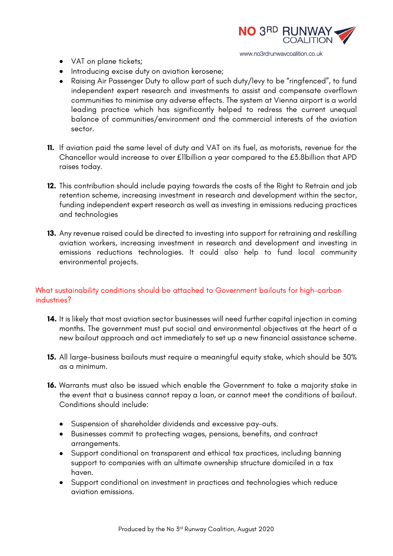

- VAT on plane tickets;
- Introducing excise duty on aviation kerosene;
- Raising Air Passenger Duty to allow part of such duty/levy to be "ringfenced", to fund independent expert research and investments to assist and compensate overflown communities to minimise any adverse effects. The system at Vienna airport is a world leading practice which has significantly helped to redress the current unequal balance of communities/environment and the commercial interests of the aviation sector.
- **11.** If aviation paid the same level of duty and VAT on its fuel, as motorists, revenue for the Chancellor would increase to over £11billion a year compared to the £3.8billion that APD raises today.
- **12.** This contribution should include paying towards the costs of the Right to Retrain and job retention scheme, increasing investment in research and development within the sector, funding independent expert research as well as investing in emissions reducing practices and technologies
- **13.** Any revenue raised could be directed to investing into support for retraining and reskilling aviation workers, increasing investment in research and development and investing in emissions reductions technologies. It could also help to fund local community environmental projects.

# What sustainability conditions should be attached to Government bailouts for high-carbon industries?

- **14.** It is likely that most aviation sector businesses will need further capital injection in coming months. The government must put social and environmental objectives at the heart of a new bailout approach and act immediately to set up a new financial assistance scheme.
- **15.** All large-business bailouts must require a meaningful equity stake, which should be 30% as a minimum.
- **16.** Warrants must also be issued which enable the Government to take a majority stake in the event that a business cannot repay a loan, or cannot meet the conditions of bailout. Conditions should include:
	- Suspension of shareholder dividends and excessive pay-outs.
	- Businesses commit to protecting wages, pensions, benefits, and contract arrangements.
	- Support conditional on transparent and ethical tax practices, including banning support to companies with an ultimate ownership structure domiciled in a tax haven.
	- Support conditional on investment in practices and technologies which reduce aviation emissions.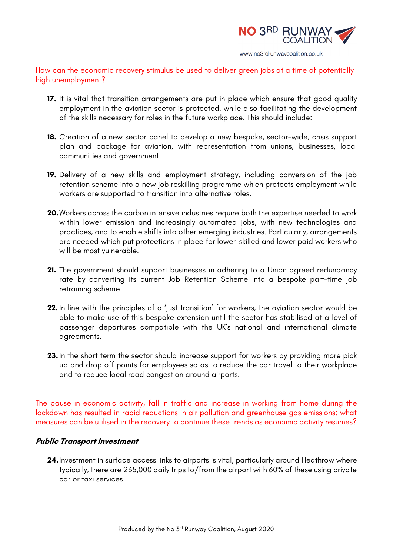

www.no3rdrunwaycoalition.co.uk

How can the economic recovery stimulus be used to deliver green jobs at a time of potentially high unemployment?

- **17.** It is vital that transition arrangements are put in place which ensure that good quality employment in the aviation sector is protected, while also facilitating the development of the skills necessary for roles in the future workplace. This should include:
- **18.** Creation of a new sector panel to develop a new bespoke, sector-wide, crisis support plan and package for aviation, with representation from unions, businesses, local communities and government.
- **19.** Delivery of a new skills and employment strategy, including conversion of the job retention scheme into a new job reskilling programme which protects employment while workers are supported to transition into alternative roles.
- **20.**Workers across the carbon intensive industries require both the expertise needed to work within lower emission and increasingly automated jobs, with new technologies and practices, and to enable shifts into other emerging industries. Particularly, arrangements are needed which put protections in place for lower-skilled and lower paid workers who will be most vulnerable.
- **21.** The government should support businesses in adhering to a Union agreed redundancy rate by converting its current Job Retention Scheme into a bespoke part-time job retraining scheme.
- **22.** In line with the principles of a 'just transition' for workers, the aviation sector would be able to make use of this bespoke extension until the sector has stabilised at a level of passenger departures compatible with the UK's national and international climate agreements.
- **23.** In the short term the sector should increase support for workers by providing more pick up and drop off points for employees so as to reduce the car travel to their workplace and to reduce local road congestion around airports.

The pause in economic activity, fall in traffic and increase in working from home during the lockdown has resulted in rapid reductions in air pollution and greenhouse gas emissions; what measures can be utilised in the recovery to continue these trends as economic activity resumes?

#### **Public Transport Investment**

**24.**Investment in surface access links to airports is vital, particularly around Heathrow where typically, there are 235,000 daily trips to/from the airport with 60% of these using private car or taxi services.